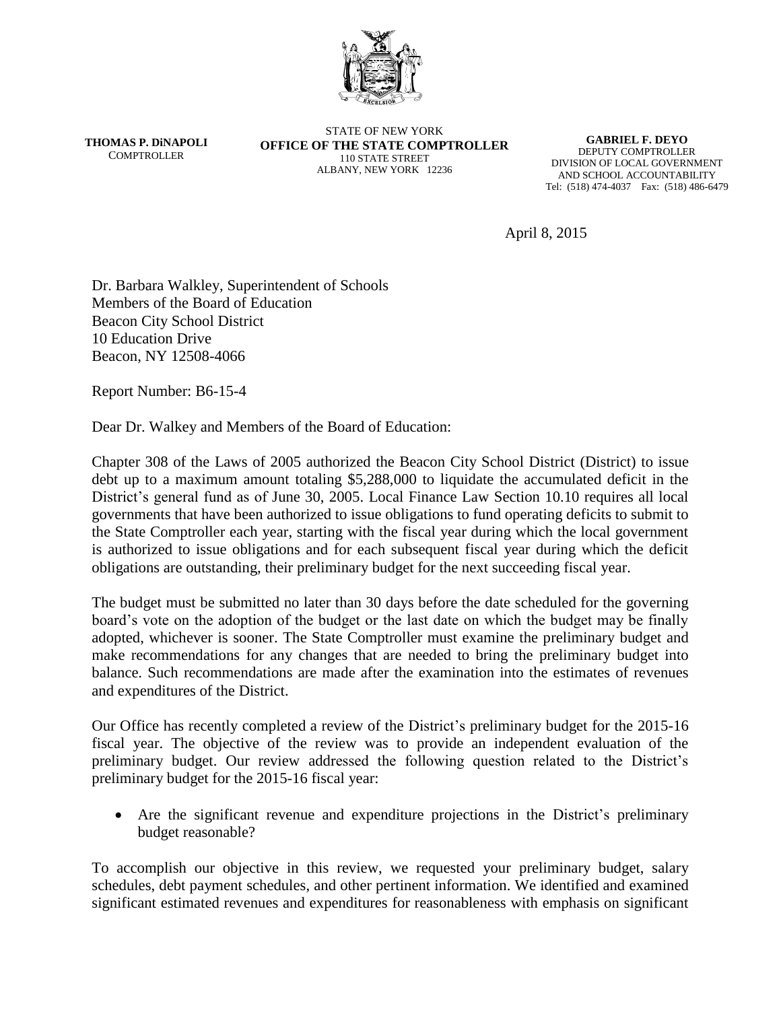

**THOMAS P. DiNAPOLI COMPTROLLER** 

STATE OF NEW YORK **OFFICE OF THE STATE COMPTROLLER** 110 STATE STREET ALBANY, NEW YORK 12236

**GABRIEL F. DEYO** DEPUTY COMPTROLLER DIVISION OF LOCAL GOVERNMENT AND SCHOOL ACCOUNTABILITY Tel: (518) 474-4037 Fax: (518) 486-6479

April 8, 2015

Dr. Barbara Walkley, Superintendent of Schools Members of the Board of Education Beacon City School District 10 Education Drive Beacon, NY 12508-4066

Report Number: B6-15-4

Dear Dr. Walkey and Members of the Board of Education:

Chapter 308 of the Laws of 2005 authorized the Beacon City School District (District) to issue debt up to a maximum amount totaling \$5,288,000 to liquidate the accumulated deficit in the District's general fund as of June 30, 2005. Local Finance Law Section 10.10 requires all local governments that have been authorized to issue obligations to fund operating deficits to submit to the State Comptroller each year, starting with the fiscal year during which the local government is authorized to issue obligations and for each subsequent fiscal year during which the deficit obligations are outstanding, their preliminary budget for the next succeeding fiscal year.

The budget must be submitted no later than 30 days before the date scheduled for the governing board's vote on the adoption of the budget or the last date on which the budget may be finally adopted, whichever is sooner. The State Comptroller must examine the preliminary budget and make recommendations for any changes that are needed to bring the preliminary budget into balance. Such recommendations are made after the examination into the estimates of revenues and expenditures of the District.

Our Office has recently completed a review of the District's preliminary budget for the 2015-16 fiscal year. The objective of the review was to provide an independent evaluation of the preliminary budget. Our review addressed the following question related to the District's preliminary budget for the 2015-16 fiscal year:

 Are the significant revenue and expenditure projections in the District's preliminary budget reasonable?

To accomplish our objective in this review, we requested your preliminary budget, salary schedules, debt payment schedules, and other pertinent information. We identified and examined significant estimated revenues and expenditures for reasonableness with emphasis on significant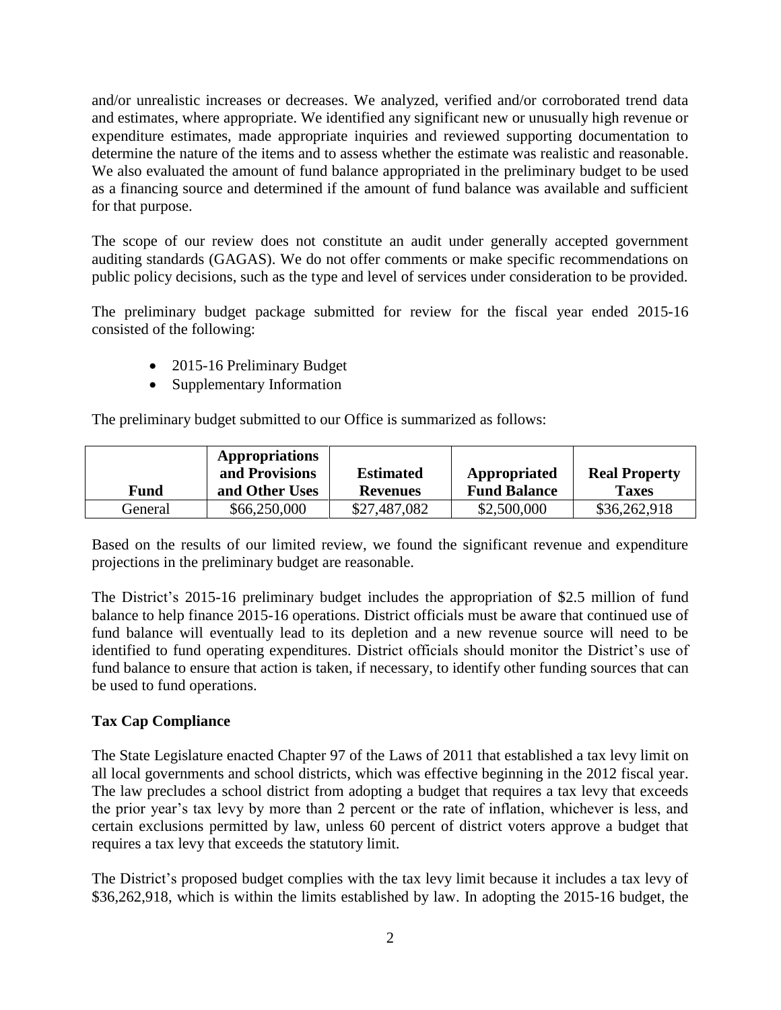and/or unrealistic increases or decreases. We analyzed, verified and/or corroborated trend data and estimates, where appropriate. We identified any significant new or unusually high revenue or expenditure estimates, made appropriate inquiries and reviewed supporting documentation to determine the nature of the items and to assess whether the estimate was realistic and reasonable. We also evaluated the amount of fund balance appropriated in the preliminary budget to be used as a financing source and determined if the amount of fund balance was available and sufficient for that purpose.

The scope of our review does not constitute an audit under generally accepted government auditing standards (GAGAS). We do not offer comments or make specific recommendations on public policy decisions, such as the type and level of services under consideration to be provided.

The preliminary budget package submitted for review for the fiscal year ended 2015-16 consisted of the following:

- 2015-16 Preliminary Budget
- Supplementary Information

The preliminary budget submitted to our Office is summarized as follows:

|             | Appropriations<br>and Provisions | <b>Estimated</b> | Appropriated        | <b>Real Property</b> |
|-------------|----------------------------------|------------------|---------------------|----------------------|
| <b>Fund</b> | and Other Uses                   | Revenues         | <b>Fund Balance</b> | <b>Taxes</b>         |
| General     | \$66,250,000                     | \$27,487,082     | \$2,500,000         | \$36,262,918         |

Based on the results of our limited review, we found the significant revenue and expenditure projections in the preliminary budget are reasonable.

The District's 2015-16 preliminary budget includes the appropriation of \$2.5 million of fund balance to help finance 2015-16 operations. District officials must be aware that continued use of fund balance will eventually lead to its depletion and a new revenue source will need to be identified to fund operating expenditures. District officials should monitor the District's use of fund balance to ensure that action is taken, if necessary, to identify other funding sources that can be used to fund operations.

## **Tax Cap Compliance**

The State Legislature enacted Chapter 97 of the Laws of 2011 that established a tax levy limit on all local governments and school districts, which was effective beginning in the 2012 fiscal year. The law precludes a school district from adopting a budget that requires a tax levy that exceeds the prior year's tax levy by more than 2 percent or the rate of inflation, whichever is less, and certain exclusions permitted by law, unless 60 percent of district voters approve a budget that requires a tax levy that exceeds the statutory limit.

The District's proposed budget complies with the tax levy limit because it includes a tax levy of \$36,262,918, which is within the limits established by law. In adopting the 2015-16 budget, the